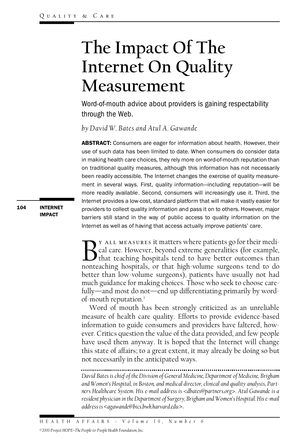# **The Impact Of The Internet On Quality Measurement**

Word-of-mouth advice about providers is gaining respectability through the Web.

*by David W. Bates and Atul A. Gawande*

ABSTRACT: Consumers are eager for information about health. However, their use of such data has been limited to date. When consumers do consider data in making health care choices, they rely more on word-of-mouth reputation than on traditional quality measures, although this information has not necessarily been readily accessible. The Internet changes the exercise of quality measure ment in several ways. First, quality information—including reputation—will be more readily available. Second, consumers will increasingly use it. Third, the Internet provides a low-cost, standard platform that will make it vastly easier for providers to collect quality information and pass it on to others. However, major barriers still stand in the way of public access to quality information on the Internet as well as of having that access actually improve patients' care.

**B**<sup>Y</sup> ALL MEASURES it matters where patients go for their medical care. However, beyond extreme generalities (for example, that teaching hospitals tend to have better outcomes than nonteaching hospitals, or that high-volu cal care. However, beyond extreme generalities (for example, I that teaching hospitals tend to have better outcomes than nonteaching hospitals, or that high-volume surgeons tend to do better than low-volume surgeons), patients have usually not had much guidance for making choices. Those who seek to choose carefully—and most do not—end up differentiating primarily by word of-mouth reputation. 1

Word of mouth has been strongly criticized as an unreliable measure of health care quality. Efforts to provide evidence-based information to guide consumers and providers have faltered, how ever. Critics question the value of the data provided, and few people have used them anyway. It is hoped that the Internet will change this state of affairs; to a great extent, it may already be doing so but not necessarily in the anticipated ways.

*David Bates is chief of the Division of General Medicine,Department of Medicine, Brigham and Women's Hospital, in Boston, and medical director, clinical and quality analysis, Part ners Healthcare System. His e-mail address is* <*dbates@partners.org*>*. Atul Gawande is a resident physician in theDepartment of Surgery, Brighamand Women'sHospital. His e-mail address is*<*agawande@bics.bwh.harvard.edu*>.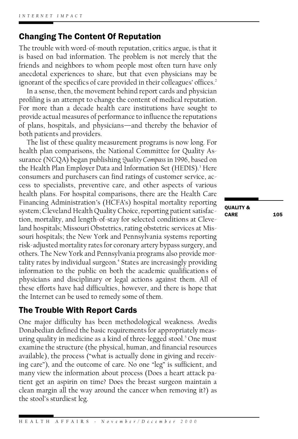## Changing The Content Of Reputation

The trouble with word-of-mouth reputation, critics argue, is that it is based on bad information. The problem is not merely that the friends and neighbors to whom people most often turn have only anecdotal experiences to share, but that even physicians may be ignorant of the specifics of care provided in their colleagues' offices.<sup>2</sup>

In a sense, then, the movement behind report cards and physician profiling is an attempt to change the content of medical reputation. For more than a decade health care institutions have sought to provide actual measures of performance to influence the reputations of plans, hospitals, and physicians—and thereby the behavior of both patients and providers.

The list of these quality measurement programs is now long. For health plan comparisons, the National Committee for Quality Assurance (NCQA) began publishing *Quality Compass* in 1996, based on the Health Plan Employer Data and Information Set (HEDIS).<sup>3</sup> Here consumers and purchasers can find ratings of customer service, ac cess to specialists, preventive care, and other aspects of various health plans. For hospital comparisons, there are the Health Care Financing Administration's (HCFA's) hospital mortality reporting system; Cleveland Health Quality Choice, reporting patient satisfaction, mortality, and length-of-stay for selected conditions at Cleveland hospitals; Missouri Obstetrics, rating obstetric services at Mis souri hospitals; the New York and Pennsylvania systems reporting risk-adjusted mortality rates for coronary artery bypass surgery, and others. The New York and Pennsylvania programs also provide mortality rates by individual surgeon.<sup>4</sup> States are increasingly providing information to the public on both the academic qualifications of physicians and disciplinary or legal actions against them. All of these efforts have had difficulties, however, and there is hope that the Internet can be used to remedy some of them.

## The Trouble With Report Cards

One major difficulty has been methodological weakness. Avedis Donabedian defined the basic requirements for appropriately meas uring quality in medicine as a kind of three-legged stool.<sup>5</sup> One must examine the structure (the physical, human, and financial resources available), the process ("what is actually done in giving and receiving care"), and the outcome of care. No one "leg" is sufficient, and many view the information about process (Does a heart attack patient get an aspirin on time? Does the breast surgeon maintain a clean margin all the way around the cancer when removing it?) as the stool's sturdiest leg.

**OUALITY &** CARE 105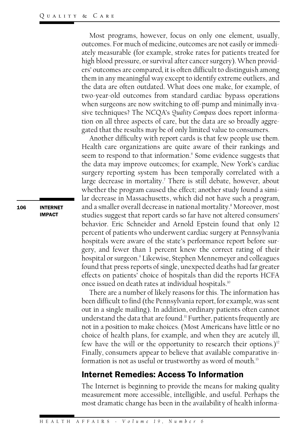Most programs, however, focus on only one element, usually, outcomes. For much of medicine, outcomes are not easily orimmedi ately measurable (for example, stroke rates for patients treated for high blood pressure, or survival after cancer surgery). When providers' outcomes are compared, it is often difficult to distinguish among them in any meaningful way except to identify extreme outliers, and the data are often outdated. What does one make, for example, of two-year-old outcomes from standard cardiac bypass operations when surgeons are now switching to off-pump and minimally inva sive techniques? The NCQA's *Quality Compass* does report information on all three aspects of care, but the data are so broadly aggre gated that the results may be of only limited value to consumers.

Another difficulty with report cards is that few people use them. Health care organizations are quite aware of their rankings and seem to respond to that information.<sup>6</sup> Some evidence suggests that the data may improve outcomes; for example, New York's cardiac surgery reporting system has been temporally correlated with a large decrease in mortality.<sup>7</sup> There is still debate, however, about whether the program caused the effect; another study found a similar decrease in Massachusetts, which did not have such a program, and a smaller overall decrease in national mortality.<sup>8</sup> Moreover, most studies suggest that report cards so far have not altered consumers' behavior. Eric Schneider and Arnold Epstein found that only 12 percent of patients who underwent cardiac surgery at Pennsylvania hospitals were aware of the state's performance report before surgery, and fewer than 1 percent knew the correct rating of their hospital or surgeon.<sup>9</sup> Likewise, Stephen Mennemeyer and colleagues found that press reports of single, unexpected deaths had far greater effects on patients' choice of hospitals than did the reports HCFA once issued on death rates at individual hospitals. 10

There are a number of likely reasons for this. The information has been difficult to find (the Pennsylvania report, for example, was sent out in a single mailing). In addition, ordinary patients often cannot understand the data that are found." Further, patients frequently are not in a position to make choices. (Most Americans have little or no choice of health plans, for example, and when they are acutely ill, few have the will or the opportunity to research their options.) $^{\text{h}}$ Finally, consumers appear to believe that available comparative information is not as useful or trustworthy as word of mouth. $^{\scriptscriptstyle 13}$ 

## Internet Remedies: Access To Information

The Internet is beginning to provide the means for making quality measurement more accessible, intelligible, and useful. Perhaps the most dramatic change has been in the availability of health informa-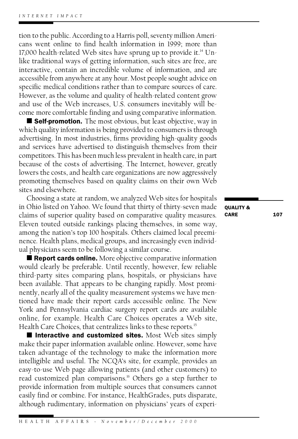tion to the public. According to a Harris poll, seventy million Americans went online to find health information in 1999; more than 17,000 health-related Web sites have sprung up to provide it.14 Unlike traditional ways of getting information, such sites are free, are interactive, contain an incredible volume of information, and are accessible from anywhere at any hour. Most people sought advice on specific medical conditions rather than to compare sources of care. However, as the volume and quality of health-related content grow and use of the Web increases, U.S. consumers inevitably will be come more comfortable finding and using comparative information.

**E** Self-promotion. The most obvious, but least objective, way in which quality information is being provided to consumers is through advertising. In most industries, firms providing high-quality goods and services have advertised to distinguish themselves from their competitors. This has been much less prevalent in health care, in part because of the costs of advertising. The Internet, however, greatly lowers the costs, and health care organizations are now aggressively promoting themselves based on quality claims on their own Web sites and elsewhere.

Choosing a state at random, we analyzed Web sites for hospitals in Ohio listed on Yahoo. We found that thirty of thirty-seven made claims of superior quality based on comparative quality measures. Eleven touted outside rankings placing themselves, in some way, among the nation's top 100 hospitals. Others claimed local preemi nence. Health plans, medical groups, and increasingly even individ ual physicians seem to be following a similar course.

**Report cards online.** More objective comparative information would clearly be preferable. Until recently, however, few reliable third-party sites comparing plans, hospitals, or physicians have been available. That appears to be changing rapidly. Most promi nently, nearly all of the quality measurement systems we have mentioned have made their report cards accessible online. The New York and Pennsylvania cardiac surgery report cards are available online, for example. Health Care Choices operates a Web site, Health Care Choices, that centralizes links to these reports. 15

 $\blacksquare$  **Interactive and customized sites.** Most Web sites simply make their paper information available online. However, some have taken advantage of the technology to make the information more intelligible and useful. The NCQA's site, for example, provides an easy-to-use Web page allowing patients (and other customers) to read customized plan comparisons. <sup>16</sup> Others go a step further to provide information from multiple sources that consumers cannot easily find or combine. For instance, HealthGrades, puts disparate, although rudimentary, information on physicians' years of experi-

QUALITY & CARE 107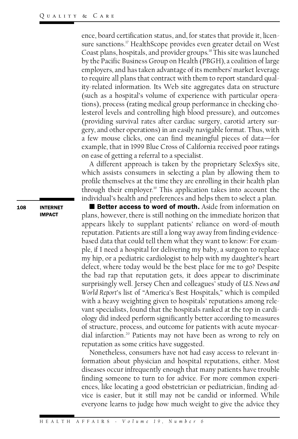ence, board certification status, and, for states that provide it, licen sure sanctions. <sup>17</sup> HealthScope provides even greater detail on West Coast plans, hospitals, and provider groups. <sup>18</sup> This site was launched by the Pacific Business Group on Health (PBGH), a coalition of large employers, and has taken advantage of its members' market leverage to require all plans that contract with them to report standard quality-related information. Its Web site aggregates data on structure (such as a hospital's volume of experience with particular operations), process (rating medical group performance in checking cholesterol levels and controlling high blood pressure), and outcomes (providing survival rates after cardiac surgery, carotid artery sur gery, and other operations) in an easily navigable format. Thus, with a few mouse clicks, one can find meaningful pieces of data—for example, that in 1999 Blue Cross of California received poor ratings on ease of getting a referral to a specialist.

A different approach is taken by the proprietary SelexSys site, which assists consumers in selecting a plan by allowing them to profile themselves at the time they are enrolling in their health plan through their employer. <sup>19</sup> This application takes into account the individual's health and preferences and helps them to select a plan.

**E** Better access to word of mouth. Aside from information on plans, however, there is still nothing on the immediate horizon that appears likely to supplant patients' reliance on word-of-mouth reputation. Patients are still a long way away from finding evidence based data that could tell them what they want to know: For exam ple, if I need a hospital for delivering my baby, a surgeon to replace my hip, or a pediatric cardiologist to help with my daughter's heart defect, where today would be the best place for me to go? Despite the bad rap that reputation gets, it does appear to discriminate surprisingly well. Jersey Chen and colleagues' study of *U.S. News and World Report*'s list of "America's Best Hospitals," which is compiled with a heavy weighting given to hospitals' reputations among rele vant specialists, found that the hospitals ranked at the top in cardi ology did indeed perform significantly better according to measures of structure, process, and outcome for patients with acute myocar dial infarction.<sup>20</sup> Patients may not have been as wrong to rely on reputation as some critics have suggested.

Nonetheless, consumers have not had easy access to relevant information about physician and hospital reputations, either. Most diseases occur infrequently enough that many patients have trouble finding someone to turn to for advice. For more common experi ences, like locating a good obstetrician or pediatrician, finding ad vice is easier, but it still may not be candid or informed. While everyone learns to judge how much weight to give the advice they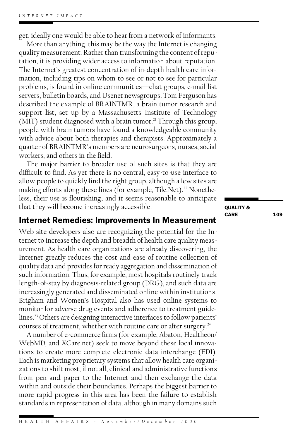get, ideally one would be able to hear from a network of informants.

More than anything, this may be the way the Internet is changing quality measurement. Rather than transforming the content of reputation, it is providing wider access to information about reputation. The Internet's greatest concentration of in-depth health care infor mation, including tips on whom to see or not to see for particular problems, is found in online communities—chat groups, e-mail list servers, bulletin boards, and Usenet newsgroups. Tom Ferguson has described the example of BRAINTMR, a brain tumor research and support list, set up by a Massachusetts Institute of Technology (MIT) student diagnosed with a brain tumor.<sup>21</sup> Through this group, people with brain tumors have found a knowledgeable community with advice about both therapies and therapists. Approximately a quarter of BRAINTMR's members are neurosurgeons, nurses, social workers, and others in the field.

The major barrier to broader use of such sites is that they are difficult to find. As yet there is no central, easy-to-use interface to allow people to quickly find the right group, although a few sites are making efforts along these lines (for example, Tile.Net).<sup>22</sup> Nonetheless, their use is flourishing, and it seems reasonable to anticipate that they will become increasingly accessible.

#### Internet Remedies: Improvements In Measurement

Web site developers also are recognizing the potential for the Internet to increase the depth and breadth of health care quality meas urement. As health care organizations are already discovering, the Internet greatly reduces the cost and ease of routine collection of quality data and provides for ready aggregation and dissemination of such information. Thus, for example, most hospitals routinely track length-of-stay by diagnosis-related group (DRG), and such data are increasingly generated and disseminated online within institutions. Brigham and Women's Hospital also has used online systems to monitor for adverse drug events and adherence to treatment guidelines.<sup>23</sup> Others are designing interactive interfaces to follow patients' courses of treatment, whether with routine care or after surgery.<sup>24</sup>

A number of e-commerce firms (for example, Abaton, Healtheon/ WebMD, and XCare.net) seek to move beyond these focal innovations to create more complete electronic data interchange (EDI). Each is marketing proprietary systems that allow health care organi zations to shift most, if not all, clinical and administrative functions from pen and paper to the Internet and then exchange the data within and outside their boundaries. Perhaps the biggest barrier to more rapid progress in this area has been the failure to establish standards in representation of data, although in many domains such

**OUALITY &** CARE 109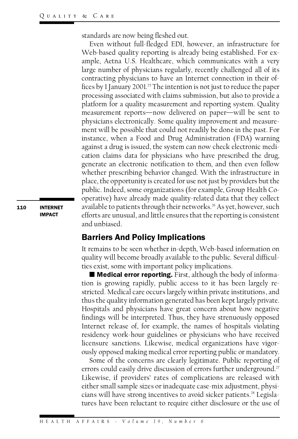standards are now being fleshed out.

Even without full-fledged EDI, however, an infrastructure for Web-based quality reporting is already being established. For ex ample, Aetna U.S. Healthcare, which communicates with a very large number of physicians regularly, recently challenged all of its contracting physicians to have an Internet connection in their offices by 1 January 2001.<sup>25</sup> The intention is not just to reduce the paper processing associated with claims submission, but also to provide a platform for a quality measurement and reporting system. Quality measurement reports—now delivered on paper—will be sent to physicians electronically. Some quality improvement and measure ment will be possible that could not readily be done in the past. For instance, when a Food and Drug Administration (FDA) warning against a drug is issued, the system can now check electronic medi cation claims data for physicians who have prescribed the drug, generate an electronic notification to them, and then even follow whether prescribing behavior changed. With the infrastructure in place, the opportunity is created for use not just by providers but the public. Indeed, some organizations (for example, Group Health Co operative) have already made quality-related data that they collect available to patients through their networks.<sup>26</sup> As yet, however, such efforts are unusual, and little ensuresthat the reporting is consistent and unbiased.

### Barriers And Policy Implications

It remains to be seen whether in-depth, Web-based information on quality will become broadly available to the public. Several difficulties exist, some with important policy implications.

**n Medical error reporting.** First, although the body of information is growing rapidly, public access to it has been largely re stricted. Medical care occurs largely within private institutions, and thus the quality information generated has been kept largely private. Hospitals and physicians have great concern about how negative findings will be interpreted. Thus, they have strenuously opposed Internet release of, for example, the names of hospitals violating residency work-hour guidelines or physicians who have received licensure sanctions. Likewise, medical organizations have vigor ously opposed making medical error reporting public or mandatory.

Some of the concerns are clearly legitimate. Public reporting of errors could easily drive discussion of errors further underground.<sup>27</sup> Likewise, if providers' rates of complications are released with either small sample sizes or inadequate case-mix adjustment, physi cians will have strong incentives to avoid sicker patients.<sup>28</sup> Legislatures have been reluctant to require either disclosure or the use of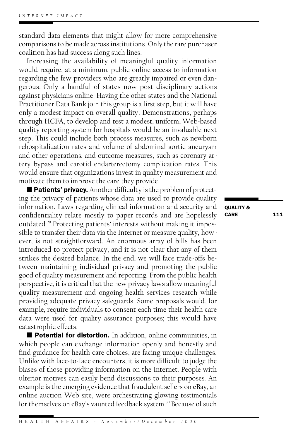standard data elements that might allow for more comprehensive comparisons to be made across institutions. Only the rare purchaser coalition has had success along such lines.

Increasing the availability of meaningful quality information would require, at a minimum, public online access to information regarding the few providers who are greatly impaired or even dan gerous. Only a handful of states now post disciplinary actions against physicians online. Having the other states and the National Practitioner Data Bank join this group is a first step, but it will have only a modest impact on overall quality. Demonstrations, perhaps through HCFA, to develop and test a modest, uniform, Web-based quality reporting system for hospitals would be an invaluable next step. This could include both process measures, such as newborn rehospitalization rates and volume of abdominal aortic aneurysm and other operations, and outcome measures, such as coronary artery bypass and carotid endarterectomy complication rates. This would ensure that organizations invest in quality measurement and motivate them to improve the care they provide.

**Patients' privacy.** Another difficulty is the problem of protecting the privacy of patients whose data are used to provide quality information. Laws regarding clinical information and security and confidentiality relate mostly to paper records and are hopelessly outdated.<sup>29</sup> Protecting patients' interests without making it impos sible to transfer their data via the Internet or measure quality, how ever, is not straightforward. An enormous array of bills has been introduced to protect privacy, and it is not clear that any of them strikes the desired balance. In the end, we will face trade-offs between maintaining individual privacy and promoting the public good of quality measurement and reporting. From the public health perspective, it is critical that the new privacy laws allow meaningful quality measurement and ongoing health services research while providing adequate privacy safeguards. Some proposals would, for example, require individuals to consent each time their health care data were used for quality assurance purposes; this would have catastrophic effects.

**Potential for distortion.** In addition, online communities, in which people can exchange information openly and honestly and find guidance for health care choices, are facing unique challenges. Unlike with face-to-face encounters, it is more difficult to judge the biases of those providing information on the Internet. People with ulterior motives can easily bend discussions to their purposes. An example is the emerging evidence that fraudulent sellers on eBay, an online auction Web site, were orchestrating glowing testimonials for themselves on eBay's vaunted feedback system.<sup>30</sup> Because of such QUALITY & CARE 111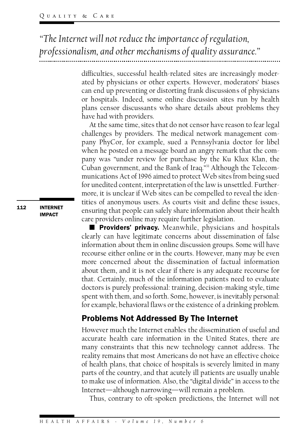*"The Internet will not reduce the importance of regulation, professionalism, and other mechanisms of quality assurance."*

> difficulties, successful health-related sites are increasingly moder ated by physicians or other experts. However, moderators' biases can end up preventing or distorting frank discussions of physicians or hospitals. Indeed, some online discussion sites run by health plans censor discussants who share details about problems they have had with providers.

At the same time, sites that do not censor have reason to fear legal challenges by providers. The medical network management com pany PhyCor, for example, sued a Pennsylvania doctor for libel when he posted on a message board an angry remark that the com pany was "under review for purchase by the Ku Klux Klan, the Cuban government, and the Bank of Iraq." <sup>31</sup> Although the Telecom munications Act of 1996 aimed to protect Web sites from being sued for unedited content, interpretation of the law is unsettled. Furthermore, it is unclear if Web sites can be compelled to reveal the identities of anonymous users. As courts visit and define these issues, ensuring that people can safely share information about their health care providers online may require further legislation.

**Providers' privacy.** Meanwhile, physicians and hospitals clearly can have legitimate concerns about dissemination of false information about them in online discussion groups. Some will have recourse either online or in the courts. However, many may be even more concerned about the dissemination of factual information about them, and it is not clear if there is any adequate recourse for that. Certainly, much of the information patients need to evaluate doctors is purely professional: training, decision-making style, time spent with them, and so forth. Some, however, is inevitably personal: for example, behavioral flaws or the existence of a drinking problem.

## Problems Not Addressed By The Internet

However much the Internet enables the dissemination of useful and accurate health care information in the United States, there are many constraints that this new technology cannot address. The reality remains that most Americans do not have an effective choice of health plans, that choice of hospitals is severely limited in many parts of the country, and that acutely ill patients are usually unable to make use of information. Also, the "digital divide" in access to the Internet—although narrowing—will remain a problem.

Thus, contrary to oft-spoken predictions, the Internet will not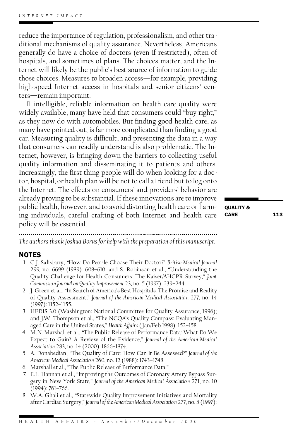reduce the importance of regulation, professionalism, and other tra ditional mechanisms of quality assurance. Nevertheless, Americans generally do have a choice of doctors (even if restricted), often of hospitals, and sometimes of plans. The choices matter, and the Internet will likely be the public's best source of information to guide those choices. Measures to broaden access—for example, providing high-speed Internet access in hospitals and senior citizens' centers—remain important.

If intelligible, reliable information on health care quality were widely available, many have held that consumers could "buy right," as they now do with automobiles. But finding good health care, as many have pointed out, is far more complicated than finding a good car. Measuring quality is difficult, and presenting the data in a way that consumers can readily understand is also problematic. The Internet, however, is bringing down the barriers to collecting useful quality information and disseminating it to patients and others. Increasingly, the first thing people will do when looking for a doctor, hospital, or health plan will be not to call a friend but to log onto the Internet. The effects on consumers' and providers' behavior are already proving to be substantial. If these innovations are to improve public health, however, and to avoid distorting health care or harming individuals, careful crafting of both Internet and health care policy will be essential.

QUALITY & CARE 113

*The authors thank Joshua Borus for help with the preparation of this manuscript.*

#### NOTES

- 1. C.J. Salisbury, "How Do People Choose Their Doctor?" *British Medical Journal* 299, no. 6699 (1989): 608–610; and S. Robinson et al., "Understanding the Quality Challenge for Health Consumers: The Kaiser/AHCPR Survey," *Joint Commission Journal onQuality Improvement* 23, no. 5 (1997): 239–244.
- 2. J. Green et al., "In Search of America's Best Hospitals: The Promise and Reality of Quality Assessment," *Journal of the American Medical Association* 277, no. 14 (1997): 1152–1155.
- 3. HEDIS 3.0 (Washington: National Committee for Quality Assurance, 1996); and J.W. Thompson et al., "The NCQA's Quality Compass: Evaluating Man aged Care in the United States," *HealthAffairs*(Jan/Feb 1998): 152–158.
- 4. M.N. Marshall et al., "The Public Release of Performance Data: What Do We Expect to Gain? A Review of the Evidence," *Journal of the American Medical Association* 283, no. 14 (2000): 1866–1874.
- 5. A. Donabedian, "The Quality of Care: How Can It Be Assessed?" *Journal of the AmericanMedical Association* 260, no. 12 (1988): 1743–1748.
- 6. Marshall et al., "The Public Release of Performance Data."
- 7. E.L. Hannan et al., "Improving the Outcomes of Coronary Artery Bypass Sur gery in New York State," *Journal of the American Medical Association* 271, no. 10 (1994): 761–766.
- 8. W.A. Ghali et al., "Statewide Quality Improvement Initiatives and Mortality after Cardiac Surgery,"*Journal of theAmericanMedicalAssociation* 277, no. 5 (1997):